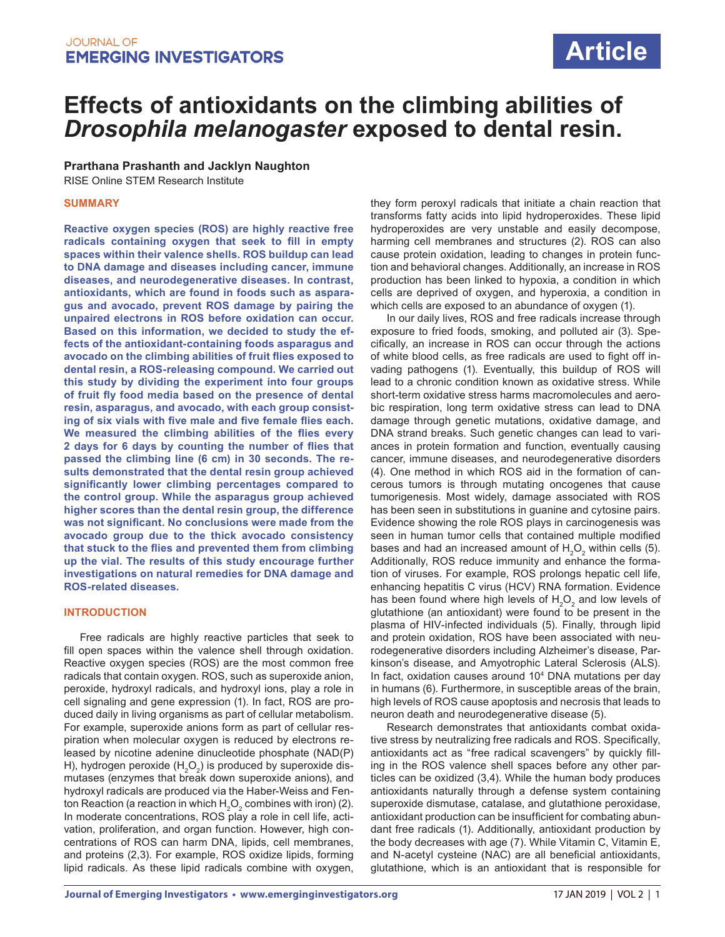# **Effects of antioxidants on the climbing abilities of**  *Drosophila melanogaster* **exposed to dental resin.**

**Prarthana Prashanth and Jacklyn Naughton**

RISE Online STEM Research Institute

## **SUMMARY**

**Reactive oxygen species (ROS) are highly reactive free radicals containing oxygen that seek to fill in empty spaces within their valence shells. ROS buildup can lead to DNA damage and diseases including cancer, immune diseases, and neurodegenerative diseases. In contrast, antioxidants, which are found in foods such as asparagus and avocado, prevent ROS damage by pairing the unpaired electrons in ROS before oxidation can occur. Based on this information, we decided to study the effects of the antioxidant-containing foods asparagus and avocado on the climbing abilities of fruit flies exposed to dental resin, a ROS-releasing compound. We carried out this study by dividing the experiment into four groups of fruit fly food media based on the presence of dental resin, asparagus, and avocado, with each group consisting of six vials with five male and five female flies each. We measured the climbing abilities of the flies every 2 days for 6 days by counting the number of flies that passed the climbing line (6 cm) in 30 seconds. The results demonstrated that the dental resin group achieved significantly lower climbing percentages compared to the control group. While the asparagus group achieved higher scores than the dental resin group, the difference was not significant. No conclusions were made from the avocado group due to the thick avocado consistency that stuck to the flies and prevented them from climbing up the vial. The results of this study encourage further investigations on natural remedies for DNA damage and ROS-related diseases.**

## **INTRODUCTION**

Free radicals are highly reactive particles that seek to fill open spaces within the valence shell through oxidation. Reactive oxygen species (ROS) are the most common free radicals that contain oxygen. ROS, such as superoxide anion, peroxide, hydroxyl radicals, and hydroxyl ions, play a role in cell signaling and gene expression (1). In fact, ROS are produced daily in living organisms as part of cellular metabolism. For example, superoxide anions form as part of cellular respiration when molecular oxygen is reduced by electrons released by nicotine adenine dinucleotide phosphate (NAD(P) H), hydrogen peroxide (H $_{\textrm{\tiny{2}}}$ O $_{\textrm{\tiny{2}}}$ ) is produced by superoxide dismutases (enzymes that break down superoxide anions), and hydroxyl radicals are produced via the Haber-Weiss and Fenton Reaction (a reaction in which  $\mathsf{H}_2\mathsf{O}_2$  combines with iron) (2). In moderate concentrations, ROS play a role in cell life, activation, proliferation, and organ function. However, high concentrations of ROS can harm DNA, lipids, cell membranes, and proteins (2,3). For example, ROS oxidize lipids, forming lipid radicals. As these lipid radicals combine with oxygen,

they form peroxyl radicals that initiate a chain reaction that transforms fatty acids into lipid hydroperoxides. These lipid hydroperoxides are very unstable and easily decompose, harming cell membranes and structures (2). ROS can also cause protein oxidation, leading to changes in protein function and behavioral changes. Additionally, an increase in ROS production has been linked to hypoxia, a condition in which cells are deprived of oxygen, and hyperoxia, a condition in which cells are exposed to an abundance of oxygen (1).

In our daily lives, ROS and free radicals increase through exposure to fried foods, smoking, and polluted air (3). Specifically, an increase in ROS can occur through the actions of white blood cells, as free radicals are used to fight off invading pathogens (1). Eventually, this buildup of ROS will lead to a chronic condition known as oxidative stress. While short-term oxidative stress harms macromolecules and aerobic respiration, long term oxidative stress can lead to DNA damage through genetic mutations, oxidative damage, and DNA strand breaks. Such genetic changes can lead to variances in protein formation and function, eventually causing cancer, immune diseases, and neurodegenerative disorders (4). One method in which ROS aid in the formation of cancerous tumors is through mutating oncogenes that cause tumorigenesis. Most widely, damage associated with ROS has been seen in substitutions in guanine and cytosine pairs. Evidence showing the role ROS plays in carcinogenesis was seen in human tumor cells that contained multiple modified bases and had an increased amount of  $H_2O_2$  within cells (5). Additionally, ROS reduce immunity and enhance the formation of viruses. For example, ROS prolongs hepatic cell life, enhancing hepatitis C virus (HCV) RNA formation. Evidence has been found where high levels of  $H_2O_2$  and low levels of glutathione (an antioxidant) were found to be present in the plasma of HIV-infected individuals (5). Finally, through lipid and protein oxidation, ROS have been associated with neurodegenerative disorders including Alzheimer's disease, Parkinson's disease, and Amyotrophic Lateral Sclerosis (ALS). In fact, oxidation causes around 104 DNA mutations per day in humans (6). Furthermore, in susceptible areas of the brain, high levels of ROS cause apoptosis and necrosis that leads to neuron death and neurodegenerative disease (5).

Research demonstrates that antioxidants combat oxidative stress by neutralizing free radicals and ROS. Specifically, antioxidants act as "free radical scavengers" by quickly filling in the ROS valence shell spaces before any other particles can be oxidized (3,4). While the human body produces antioxidants naturally through a defense system containing superoxide dismutase, catalase, and glutathione peroxidase, antioxidant production can be insufficient for combating abundant free radicals (1). Additionally, antioxidant production by the body decreases with age (7). While Vitamin C, Vitamin E, and N-acetyl cysteine (NAC) are all beneficial antioxidants, glutathione, which is an antioxidant that is responsible for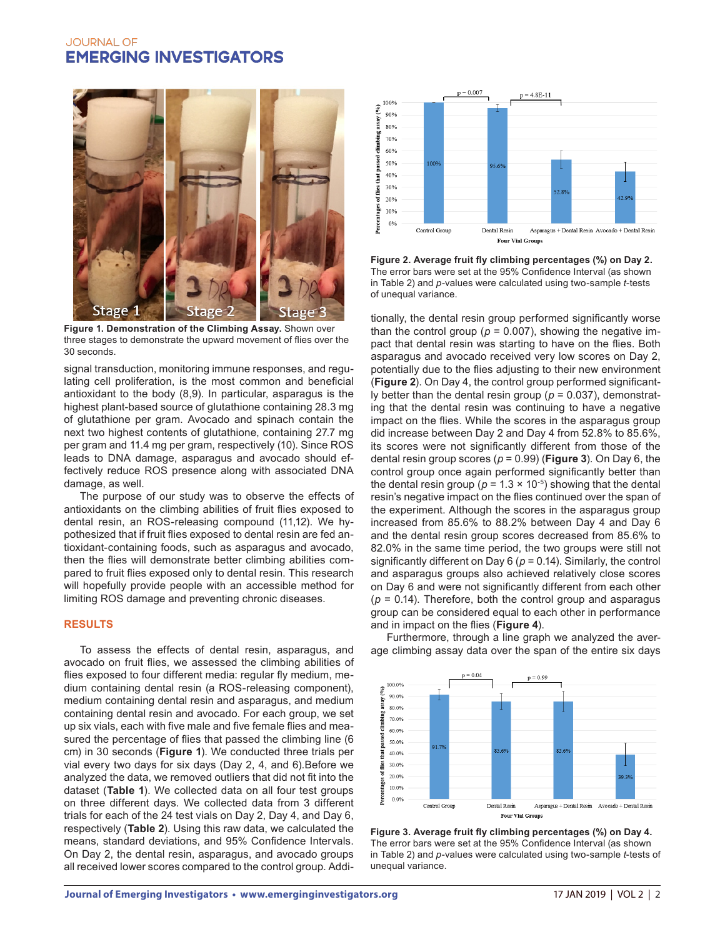

**Figure 1. Demonstration of the Climbing Assay.** Shown over three stages to demonstrate the upward movement of flies over the 30 seconds.

signal transduction, monitoring immune responses, and regulating cell proliferation, is the most common and beneficial antioxidant to the body (8,9). In particular, asparagus is the highest plant-based source of glutathione containing 28.3 mg of glutathione per gram. Avocado and spinach contain the next two highest contents of glutathione, containing 27.7 mg per gram and 11.4 mg per gram, respectively (10). Since ROS leads to DNA damage, asparagus and avocado should effectively reduce ROS presence along with associated DNA damage, as well.

The purpose of our study was to observe the effects of antioxidants on the climbing abilities of fruit flies exposed to dental resin, an ROS-releasing compound (11,12). We hypothesized that if fruit flies exposed to dental resin are fed antioxidant-containing foods, such as asparagus and avocado, then the flies will demonstrate better climbing abilities compared to fruit flies exposed only to dental resin. This research will hopefully provide people with an accessible method for limiting ROS damage and preventing chronic diseases.

## **RESULTS**

To assess the effects of dental resin, asparagus, and avocado on fruit flies, we assessed the climbing abilities of flies exposed to four different media: regular fly medium, medium containing dental resin (a ROS-releasing component), medium containing dental resin and asparagus, and medium containing dental resin and avocado. For each group, we set up six vials, each with five male and five female flies and measured the percentage of flies that passed the climbing line (6 cm) in 30 seconds (**Figure 1**). We conducted three trials per vial every two days for six days (Day 2, 4, and 6).Before we analyzed the data, we removed outliers that did not fit into the dataset (**Table 1**). We collected data on all four test groups on three different days. We collected data from 3 different trials for each of the 24 test vials on Day 2, Day 4, and Day 6, respectively (**Table 2**). Using this raw data, we calculated the means, standard deviations, and 95% Confidence Intervals. On Day 2, the dental resin, asparagus, and avocado groups all received lower scores compared to the control group. Addi-



**Figure 2. Average fruit fly climbing percentages (%) on Day 2.**  The error bars were set at the 95% Confidence Interval (as shown in Table 2) and *p*-values were calculated using two-sample *t*-tests of unequal variance.

tionally, the dental resin group performed significantly worse than the control group ( $p = 0.007$ ), showing the negative impact that dental resin was starting to have on the flies. Both asparagus and avocado received very low scores on Day 2, potentially due to the flies adjusting to their new environment (**Figure 2**). On Day 4, the control group performed significantly better than the dental resin group (*p* = 0.037), demonstrating that the dental resin was continuing to have a negative impact on the flies. While the scores in the asparagus group did increase between Day 2 and Day 4 from 52.8% to 85.6%, its scores were not significantly different from those of the dental resin group scores ( $p = 0.99$ ) (**Figure 3**). On Day 6, the control group once again performed significantly better than the dental resin group ( $p = 1.3 \times 10^{-5}$ ) showing that the dental resin's negative impact on the flies continued over the span of the experiment. Although the scores in the asparagus group increased from 85.6% to 88.2% between Day 4 and Day 6 and the dental resin group scores decreased from 85.6% to 82.0% in the same time period, the two groups were still not significantly different on Day 6 (*p* = 0.14). Similarly, the control and asparagus groups also achieved relatively close scores on Day 6 and were not significantly different from each other  $(p = 0.14)$ . Therefore, both the control group and asparagus group can be considered equal to each other in performance and in impact on the flies (**Figure 4**).

Furthermore, through a line graph we analyzed the average climbing assay data over the span of the entire six days



**Figure 3. Average fruit fly climbing percentages (%) on Day 4.**  The error bars were set at the 95% Confidence Interval (as shown in Table 2) and *p*-values were calculated using two-sample *t*-tests of unequal variance.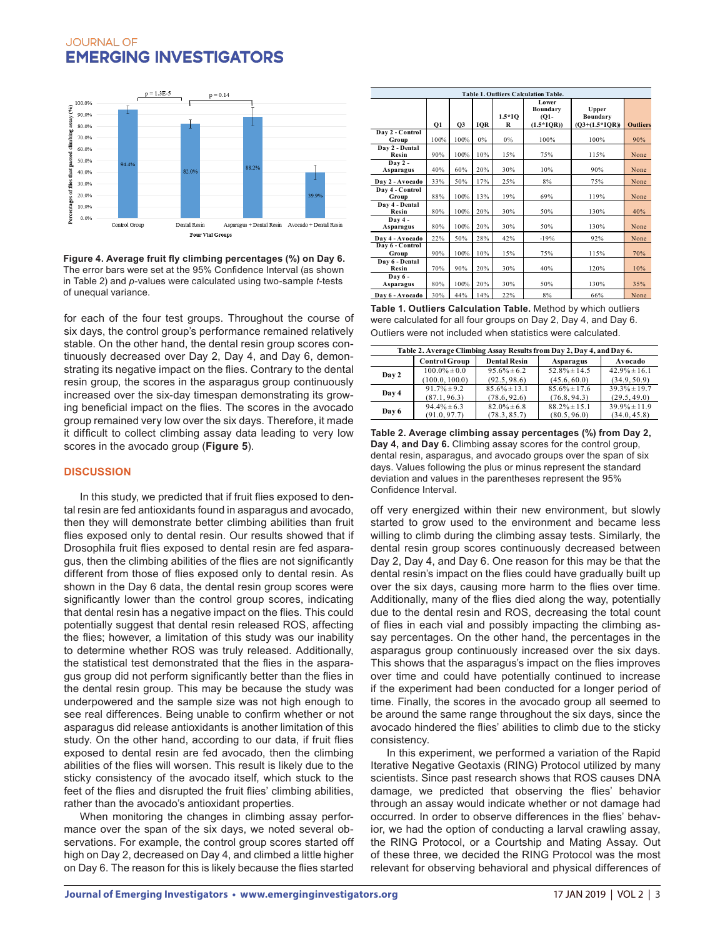

**Figure 4. Average fruit fly climbing percentages (%) on Day 6.**  The error bars were set at the 95% Confidence Interval (as shown in Table 2) and *p*-values were calculated using two-sample *t*-tests of unequal variance.

for each of the four test groups. Throughout the course of six days, the control group's performance remained relatively stable. On the other hand, the dental resin group scores continuously decreased over Day 2, Day 4, and Day 6, demonstrating its negative impact on the flies. Contrary to the dental resin group, the scores in the asparagus group continuously increased over the six-day timespan demonstrating its growing beneficial impact on the flies. The scores in the avocado group remained very low over the six days. Therefore, it made it difficult to collect climbing assay data leading to very low scores in the avocado group (**Figure 5**).

## **DISCUSSION**

In this study, we predicted that if fruit flies exposed to dental resin are fed antioxidants found in asparagus and avocado, then they will demonstrate better climbing abilities than fruit flies exposed only to dental resin. Our results showed that if Drosophila fruit flies exposed to dental resin are fed asparagus, then the climbing abilities of the flies are not significantly different from those of flies exposed only to dental resin. As shown in the Day 6 data, the dental resin group scores were significantly lower than the control group scores, indicating that dental resin has a negative impact on the flies. This could potentially suggest that dental resin released ROS, affecting the flies; however, a limitation of this study was our inability to determine whether ROS was truly released. Additionally, the statistical test demonstrated that the flies in the asparagus group did not perform significantly better than the flies in the dental resin group. This may be because the study was underpowered and the sample size was not high enough to see real differences. Being unable to confirm whether or not asparagus did release antioxidants is another limitation of this study. On the other hand, according to our data, if fruit flies exposed to dental resin are fed avocado, then the climbing abilities of the flies will worsen. This result is likely due to the sticky consistency of the avocado itself, which stuck to the feet of the flies and disrupted the fruit flies' climbing abilities, rather than the avocado's antioxidant properties.

When monitoring the changes in climbing assay performance over the span of the six days, we noted several observations. For example, the control group scores started off high on Day 2, decreased on Day 4, and climbed a little higher on Day 6. The reason for this is likely because the flies started

| Table 1. Outliers Calculation Table. |      |      |     |               |                                              |                                               |                 |  |  |
|--------------------------------------|------|------|-----|---------------|----------------------------------------------|-----------------------------------------------|-----------------|--|--|
|                                      | Q1   | Q3   | IQR | $1.5*10$<br>R | Lower<br>Boundary<br>$(01 -$<br>$(1.5*IQR))$ | <b>U</b> pper<br>Boundary<br>$(Q3+(1.5*IQR))$ | <b>Outliers</b> |  |  |
| Day 2 - Control<br>Group             | 100% | 100% | 0%  | $0\%$         | 100%                                         | 100%                                          | 90%             |  |  |
| Day 2 - Dental<br>Resin              | 90%  | 100% | 10% | 15%           | 75%                                          | 115%                                          | None            |  |  |
| $Day 2 -$<br>Asparagus               | 40%  | 60%  | 20% | 30%           | 10%                                          | 90%                                           | None            |  |  |
| Day 2 - Avocado                      | 33%  | 50%  | 17% | 25%           | 8%                                           | 75%                                           | None            |  |  |
| Day 4 - Control<br>Group             | 88%  | 100% | 13% | 19%           | 69%                                          | 119%                                          | None            |  |  |
| Day 4 - Dental<br>Resin              | 80%  | 100% | 20% | 30%           | 50%                                          | 130%                                          | 40%             |  |  |
| Day 4-<br>Asparagus                  | 80%  | 100% | 20% | 30%           | 50%                                          | 130%                                          | None            |  |  |
| Day 4 - Avocado                      | 22%  | 50%  | 28% | 42%           | $-19%$                                       | 92%                                           | None            |  |  |
| Day 6 - Control<br>Group             | 90%  | 100% | 10% | 15%           | 75%                                          | 115%                                          | 70%             |  |  |
| Day 6 - Dental<br>Resin              | 70%  | 90%  | 20% | 30%           | 40%                                          | 120%                                          | 10%             |  |  |
| Day 6-<br>Asparagus                  | 80%  | 100% | 20% | 30%           | 50%                                          | 130%                                          | 35%             |  |  |
| Dav 6 - Avocado                      | 30%  | 44%  | 14% | 22%           | 8%                                           | 66%                                           | None            |  |  |

**Table 1. Outliers Calculation Table.** Method by which outliers were calculated for all four groups on Day 2, Day 4, and Day 6. Outliers were not included when statistics were calculated.

| Table 2. Average Climbing Assay Results from Day 2, Day 4, and Day 6. |                      |                     |                   |                   |  |  |  |  |
|-----------------------------------------------------------------------|----------------------|---------------------|-------------------|-------------------|--|--|--|--|
|                                                                       | <b>Control Group</b> | <b>Dental Resin</b> | Asparagus         | Avocado           |  |  |  |  |
| Day 2                                                                 | $100.0\% \pm 0.0$    | $95.6\% \pm 6.2$    | 52 $8\% \pm 14.5$ | 42 $9\% \pm 16$ 1 |  |  |  |  |
|                                                                       | (100.0, 100.0)       | (92.5, 98.6)        | (45.6, 60.0)      | (34.9, 50.9)      |  |  |  |  |
| Day 4                                                                 | $91.7\% \pm 9.2$     | $85.6\% \pm 13.1$   | $85.6\% \pm 17.6$ | $39.3\% \pm 19.7$ |  |  |  |  |
|                                                                       | (87.1, 96.3)         | (78.6, 92.6)        | (76.8, 94.3)      | (29.5, 49.0)      |  |  |  |  |
| Day 6                                                                 | $94.4\% \pm 6.3$     | $82.0\% \pm 6.8$    | $88.2\% \pm 15.1$ | $39.9\% \pm 11.9$ |  |  |  |  |
|                                                                       | (91.0, 97.7)         | (78.3, 85.7)        | (80.5, 96.0)      | (34.0, 45.8)      |  |  |  |  |

**Table 2. Average climbing assay percentages (%) from Day 2, Day 4, and Day 6.** Climbing assay scores for the control group, dental resin, asparagus, and avocado groups over the span of six days. Values following the plus or minus represent the standard deviation and values in the parentheses represent the 95% Confidence Interval.

off very energized within their new environment, but slowly started to grow used to the environment and became less willing to climb during the climbing assay tests. Similarly, the dental resin group scores continuously decreased between Day 2, Day 4, and Day 6. One reason for this may be that the dental resin's impact on the flies could have gradually built up over the six days, causing more harm to the flies over time. Additionally, many of the flies died along the way, potentially due to the dental resin and ROS, decreasing the total count of flies in each vial and possibly impacting the climbing assay percentages. On the other hand, the percentages in the asparagus group continuously increased over the six days. This shows that the asparagus's impact on the flies improves over time and could have potentially continued to increase if the experiment had been conducted for a longer period of time. Finally, the scores in the avocado group all seemed to be around the same range throughout the six days, since the avocado hindered the flies' abilities to climb due to the sticky consistency.

In this experiment, we performed a variation of the Rapid Iterative Negative Geotaxis (RING) Protocol utilized by many scientists. Since past research shows that ROS causes DNA damage, we predicted that observing the flies' behavior through an assay would indicate whether or not damage had occurred. In order to observe differences in the flies' behavior, we had the option of conducting a larval crawling assay, the RING Protocol, or a Courtship and Mating Assay. Out of these three, we decided the RING Protocol was the most relevant for observing behavioral and physical differences of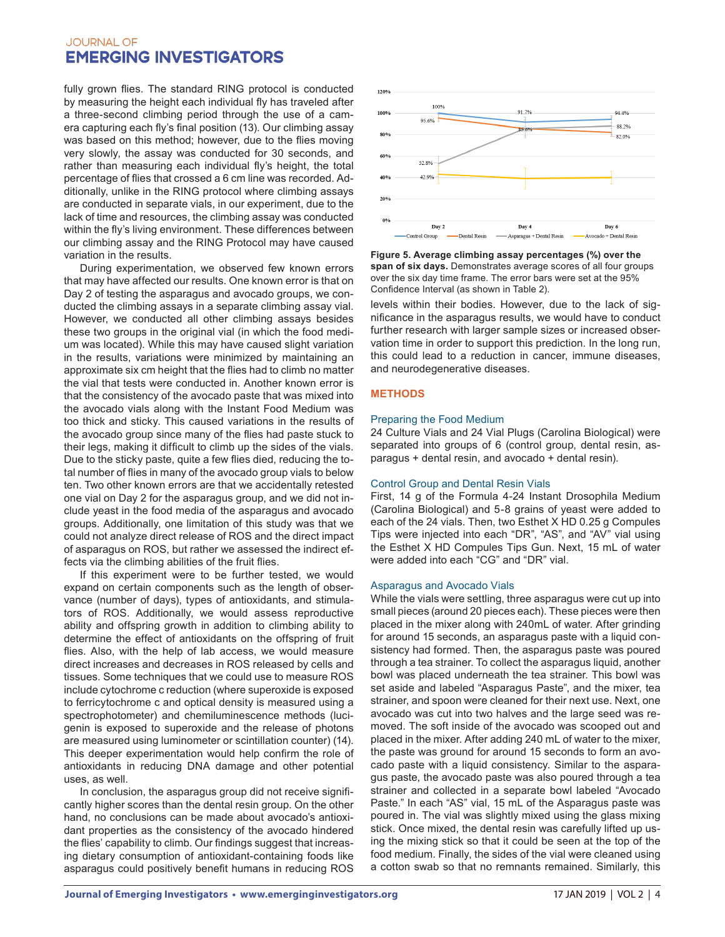fully grown flies. The standard RING protocol is conducted by measuring the height each individual fly has traveled after a three-second climbing period through the use of a camera capturing each fly's final position (13). Our climbing assay was based on this method; however, due to the flies moving very slowly, the assay was conducted for 30 seconds, and rather than measuring each individual fly's height, the total percentage of flies that crossed a 6 cm line was recorded. Additionally, unlike in the RING protocol where climbing assays are conducted in separate vials, in our experiment, due to the lack of time and resources, the climbing assay was conducted within the fly's living environment. These differences between our climbing assay and the RING Protocol may have caused variation in the results.

During experimentation, we observed few known errors that may have affected our results. One known error is that on Day 2 of testing the asparagus and avocado groups, we conducted the climbing assays in a separate climbing assay vial. However, we conducted all other climbing assays besides these two groups in the original vial (in which the food medium was located). While this may have caused slight variation in the results, variations were minimized by maintaining an approximate six cm height that the flies had to climb no matter the vial that tests were conducted in. Another known error is that the consistency of the avocado paste that was mixed into the avocado vials along with the Instant Food Medium was too thick and sticky. This caused variations in the results of the avocado group since many of the flies had paste stuck to their legs, making it difficult to climb up the sides of the vials. Due to the sticky paste, quite a few flies died, reducing the total number of flies in many of the avocado group vials to below ten. Two other known errors are that we accidentally retested one vial on Day 2 for the asparagus group, and we did not include yeast in the food media of the asparagus and avocado groups. Additionally, one limitation of this study was that we could not analyze direct release of ROS and the direct impact of asparagus on ROS, but rather we assessed the indirect effects via the climbing abilities of the fruit flies.

If this experiment were to be further tested, we would expand on certain components such as the length of observance (number of days), types of antioxidants, and stimulators of ROS. Additionally, we would assess reproductive ability and offspring growth in addition to climbing ability to determine the effect of antioxidants on the offspring of fruit flies. Also, with the help of lab access, we would measure direct increases and decreases in ROS released by cells and tissues. Some techniques that we could use to measure ROS include cytochrome c reduction (where superoxide is exposed to ferricytochrome c and optical density is measured using a spectrophotometer) and chemiluminescence methods (lucigenin is exposed to superoxide and the release of photons are measured using luminometer or scintillation counter) (14). This deeper experimentation would help confirm the role of antioxidants in reducing DNA damage and other potential uses, as well.

In conclusion, the asparagus group did not receive significantly higher scores than the dental resin group. On the other hand, no conclusions can be made about avocado's antioxidant properties as the consistency of the avocado hindered the flies' capability to climb. Our findings suggest that increasing dietary consumption of antioxidant-containing foods like asparagus could positively benefit humans in reducing ROS



**Figure 5. Average climbing assay percentages (%) over the span of six days.** Demonstrates average scores of all four groups over the six day time frame. The error bars were set at the 95% Confidence Interval (as shown in Table 2).

levels within their bodies. However, due to the lack of significance in the asparagus results, we would have to conduct further research with larger sample sizes or increased observation time in order to support this prediction. In the long run, this could lead to a reduction in cancer, immune diseases, and neurodegenerative diseases.

#### **METHODS**

#### Preparing the Food Medium

24 Culture Vials and 24 Vial Plugs (Carolina Biological) were separated into groups of 6 (control group, dental resin, asparagus + dental resin, and avocado + dental resin).

#### Control Group and Dental Resin Vials

First, 14 g of the Formula 4-24 Instant Drosophila Medium (Carolina Biological) and 5-8 grains of yeast were added to each of the 24 vials. Then, two Esthet X HD 0.25 g Compules Tips were injected into each "DR", "AS", and "AV" vial using the Esthet X HD Compules Tips Gun. Next, 15 mL of water were added into each "CG" and "DR" vial.

#### Asparagus and Avocado Vials

While the vials were settling, three asparagus were cut up into small pieces (around 20 pieces each). These pieces were then placed in the mixer along with 240mL of water. After grinding for around 15 seconds, an asparagus paste with a liquid consistency had formed. Then, the asparagus paste was poured through a tea strainer. To collect the asparagus liquid, another bowl was placed underneath the tea strainer. This bowl was set aside and labeled "Asparagus Paste", and the mixer, tea strainer, and spoon were cleaned for their next use. Next, one avocado was cut into two halves and the large seed was removed. The soft inside of the avocado was scooped out and placed in the mixer. After adding 240 mL of water to the mixer, the paste was ground for around 15 seconds to form an avocado paste with a liquid consistency. Similar to the asparagus paste, the avocado paste was also poured through a tea strainer and collected in a separate bowl labeled "Avocado Paste." In each "AS" vial, 15 mL of the Asparagus paste was poured in. The vial was slightly mixed using the glass mixing stick. Once mixed, the dental resin was carefully lifted up using the mixing stick so that it could be seen at the top of the food medium. Finally, the sides of the vial were cleaned using a cotton swab so that no remnants remained. Similarly, this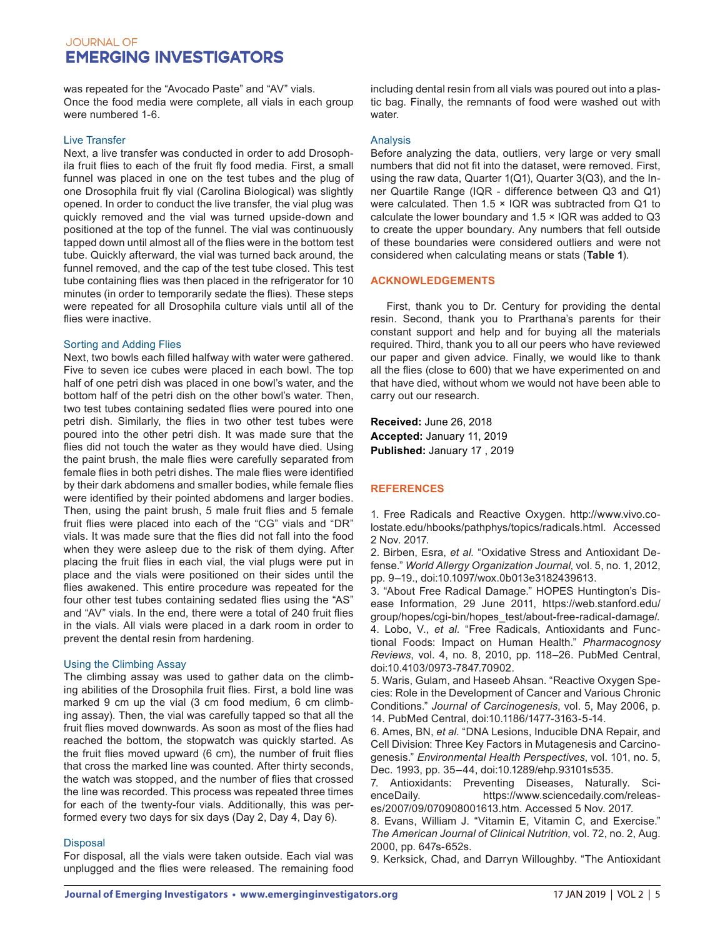was repeated for the "Avocado Paste" and "AV" vials. Once the food media were complete, all vials in each group were numbered 1-6.

#### Live Transfer

Next, a live transfer was conducted in order to add Drosophila fruit flies to each of the fruit fly food media. First, a small funnel was placed in one on the test tubes and the plug of one Drosophila fruit fly vial (Carolina Biological) was slightly opened. In order to conduct the live transfer, the vial plug was quickly removed and the vial was turned upside-down and positioned at the top of the funnel. The vial was continuously tapped down until almost all of the flies were in the bottom test tube. Quickly afterward, the vial was turned back around, the funnel removed, and the cap of the test tube closed. This test tube containing flies was then placed in the refrigerator for 10 minutes (in order to temporarily sedate the flies). These steps were repeated for all Drosophila culture vials until all of the flies were inactive.

#### Sorting and Adding Flies

Next, two bowls each filled halfway with water were gathered. Five to seven ice cubes were placed in each bowl. The top half of one petri dish was placed in one bowl's water, and the bottom half of the petri dish on the other bowl's water. Then, two test tubes containing sedated flies were poured into one petri dish. Similarly, the flies in two other test tubes were poured into the other petri dish. It was made sure that the flies did not touch the water as they would have died. Using the paint brush, the male flies were carefully separated from female flies in both petri dishes. The male flies were identified by their dark abdomens and smaller bodies, while female flies were identified by their pointed abdomens and larger bodies. Then, using the paint brush, 5 male fruit flies and 5 female fruit flies were placed into each of the "CG" vials and "DR" vials. It was made sure that the flies did not fall into the food when they were asleep due to the risk of them dying. After placing the fruit flies in each vial, the vial plugs were put in place and the vials were positioned on their sides until the flies awakened. This entire procedure was repeated for the four other test tubes containing sedated flies using the "AS" and "AV" vials. In the end, there were a total of 240 fruit flies in the vials. All vials were placed in a dark room in order to prevent the dental resin from hardening.

## Using the Climbing Assay

The climbing assay was used to gather data on the climbing abilities of the Drosophila fruit flies. First, a bold line was marked 9 cm up the vial (3 cm food medium, 6 cm climbing assay). Then, the vial was carefully tapped so that all the fruit flies moved downwards. As soon as most of the flies had reached the bottom, the stopwatch was quickly started. As the fruit flies moved upward (6 cm), the number of fruit flies that cross the marked line was counted. After thirty seconds, the watch was stopped, and the number of flies that crossed the line was recorded. This process was repeated three times for each of the twenty-four vials. Additionally, this was performed every two days for six days (Day 2, Day 4, Day 6).

## Disposal

For disposal, all the vials were taken outside. Each vial was unplugged and the flies were released. The remaining food including dental resin from all vials was poured out into a plastic bag. Finally, the remnants of food were washed out with water.

# Analysis

Before analyzing the data, outliers, very large or very small numbers that did not fit into the dataset, were removed. First, using the raw data, Quarter 1(Q1), Quarter 3(Q3), and the Inner Quartile Range (IQR - difference between Q3 and Q1) were calculated. Then 1.5 × IQR was subtracted from Q1 to calculate the lower boundary and 1.5 × IQR was added to Q3 to create the upper boundary. Any numbers that fell outside of these boundaries were considered outliers and were not considered when calculating means or stats (**Table 1**).

#### **ACKNOWLEDGEMENTS**

First, thank you to Dr. Century for providing the dental resin. Second, thank you to Prarthana's parents for their constant support and help and for buying all the materials required. Third, thank you to all our peers who have reviewed our paper and given advice. Finally, we would like to thank all the flies (close to 600) that we have experimented on and that have died, without whom we would not have been able to carry out our research.

**Received:** June 26, 2018 **Accepted:** January 11, 2019 **Published:** January 17 , 2019

## **REFERENCES**

1. Free Radicals and Reactive Oxygen. http://www.vivo.colostate.edu/hbooks/pathphys/topics/radicals.html. Accessed 2 Nov. 2017.

2. Birben, Esra, *et al.* "Oxidative Stress and Antioxidant Defense." *World Allergy Organization Journal*, vol. 5, no. 1, 2012, pp. 9–19., doi:10.1097/wox.0b013e3182439613.

3. "About Free Radical Damage." HOPES Huntington's Disease Information, 29 June 2011, https://web.stanford.edu/ group/hopes/cgi-bin/hopes\_test/about-free-radical-damage/. 4. Lobo, V., *et al.* "Free Radicals, Antioxidants and Functional Foods: Impact on Human Health." *Pharmacognosy Reviews*, vol. 4, no. 8, 2010, pp. 118–26. PubMed Central, doi:10.4103/0973-7847.70902.

5. Waris, Gulam, and Haseeb Ahsan. "Reactive Oxygen Species: Role in the Development of Cancer and Various Chronic Conditions." *Journal of Carcinogenesis*, vol. 5, May 2006, p. 14. PubMed Central, doi:10.1186/1477-3163-5-14.

6. Ames, BN, *et al.* "DNA Lesions, Inducible DNA Repair, and Cell Division: Three Key Factors in Mutagenesis and Carcinogenesis." *Environmental Health Perspectives*, vol. 101, no. 5, Dec. 1993, pp. 35–44, doi:10.1289/ehp.93101s535.

7. Antioxidants: Preventing Diseases, Naturally. ScienceDaily. https://www.sciencedaily.com/releases/2007/09/070908001613.htm. Accessed 5 Nov. 2017.

8. Evans, William J. "Vitamin E, Vitamin C, and Exercise." *The American Journal of Clinical Nutrition*, vol. 72, no. 2, Aug. 2000, pp. 647s-652s.

9. Kerksick, Chad, and Darryn Willoughby. "The Antioxidant